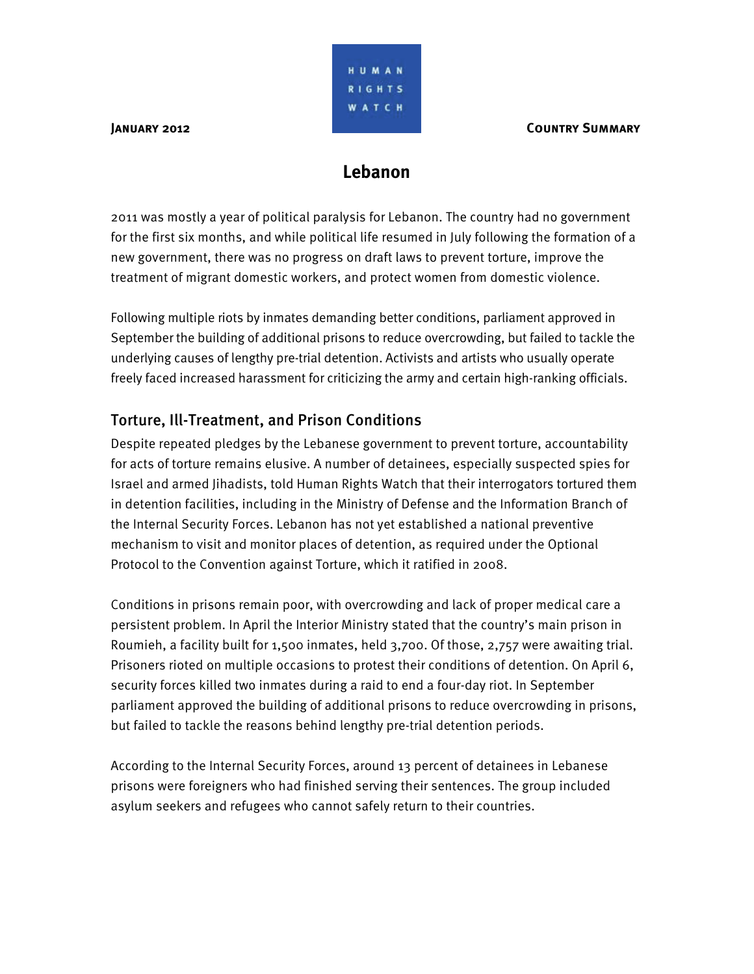HUMAN RIGHTS WATCH

# **Lebanon**

2011 was mostly a year of political paralysis for Lebanon. The country had no government for the first six months, and while political life resumed in July following the formation of a new government, there was no progress on draft laws to prevent torture, improve the treatment of migrant domestic workers, and protect women from domestic violence.

Following multiple riots by inmates demanding better conditions, parliament approved in September the building of additional prisons to reduce overcrowding, but failed to tackle the underlying causes of lengthy pre-trial detention. Activists and artists who usually operate freely faced increased harassment for criticizing the army and certain high-ranking officials.

## Torture, Ill-Treatment, and Prison Conditions

Despite repeated pledges by the Lebanese government to prevent torture, accountability for acts of torture remains elusive. A number of detainees, especially suspected spies for Israel and armed Jihadists, told Human Rights Watch that their interrogators tortured them in detention facilities, including in the Ministry of Defense and the Information Branch of the Internal Security Forces. Lebanon has not yet established a national preventive mechanism to visit and monitor places of detention, as required under the Optional Protocol to the Convention against Torture, which it ratified in 2008.

Conditions in prisons remain poor, with overcrowding and lack of proper medical care a persistent problem. In April the Interior Ministry stated that the country's main prison in Roumieh, a facility built for 1,500 inmates, held 3,700. Of those, 2,757 were awaiting trial. Prisoners rioted on multiple occasions to protest their conditions of detention. On April 6, security forces killed two inmates during a raid to end a four-day riot. In September parliament approved the building of additional prisons to reduce overcrowding in prisons, but failed to tackle the reasons behind lengthy pre-trial detention periods.

According to the Internal Security Forces, around 13 percent of detainees in Lebanese prisons were foreigners who had finished serving their sentences. The group included asylum seekers and refugees who cannot safely return to their countries.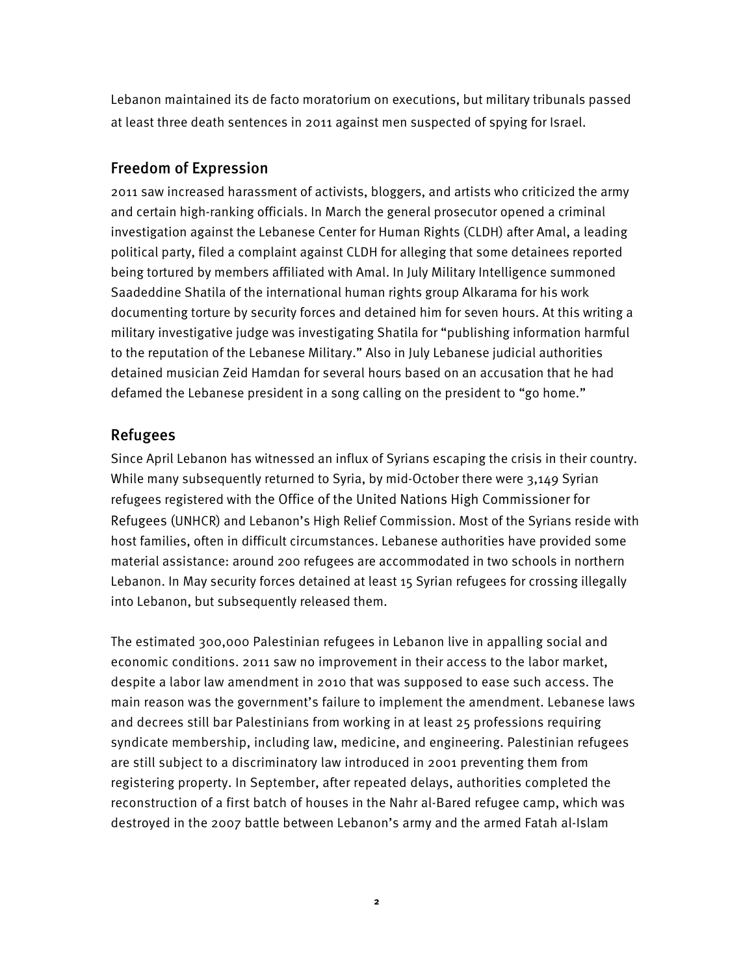Lebanon maintained its de facto moratorium on executions, but military tribunals passed at least three death sentences in 2011 against men suspected of spying for Israel.

#### Freedom of Expression

2011 saw increased harassment of activists, bloggers, and artists who criticized the army and certain high-ranking officials. In March the general prosecutor opened a criminal investigation against the Lebanese Center for Human Rights (CLDH) after Amal, a leading political party, filed a complaint against CLDH for alleging that some detainees reported being tortured by members affiliated with Amal. In July Military Intelligence summoned Saadeddine Shatila of the international human rights group Alkarama for his work documenting torture by security forces and detained him for seven hours. At this writing a military investigative judge was investigating Shatila for "publishing information harmful to the reputation of the Lebanese Military." Also in July Lebanese judicial authorities detained musician Zeid Hamdan for several hours based on an accusation that he had defamed the Lebanese president in a song calling on the president to "go home."

## Refugees

Since April Lebanon has witnessed an influx of Syrians escaping the crisis in their country. While many subsequently returned to Syria, by mid-October there were 3,149 Syrian refugees registered with the Office of the United Nations High Commissioner for Refugees (UNHCR) and Lebanon's High Relief Commission. Most of the Syrians reside with host families, often in difficult circumstances. Lebanese authorities have provided some material assistance: around 200 refugees are accommodated in two schools in northern Lebanon. In May security forces detained at least 15 Syrian refugees for crossing illegally into Lebanon, but subsequently released them.

The estimated 300,000 Palestinian refugees in Lebanon live in appalling social and economic conditions. 2011 saw no improvement in their access to the labor market, despite a labor law amendment in 2010 that was supposed to ease such access. The main reason was the government's failure to implement the amendment. Lebanese laws and decrees still bar Palestinians from working in at least 25 professions requiring syndicate membership, including law, medicine, and engineering. Palestinian refugees are still subject to a discriminatory law introduced in 2001 preventing them from registering property. In September, after repeated delays, authorities completed the reconstruction of a first batch of houses in the Nahr al-Bared refugee camp, which was destroyed in the 2007 battle between Lebanon's army and the armed Fatah al-Islam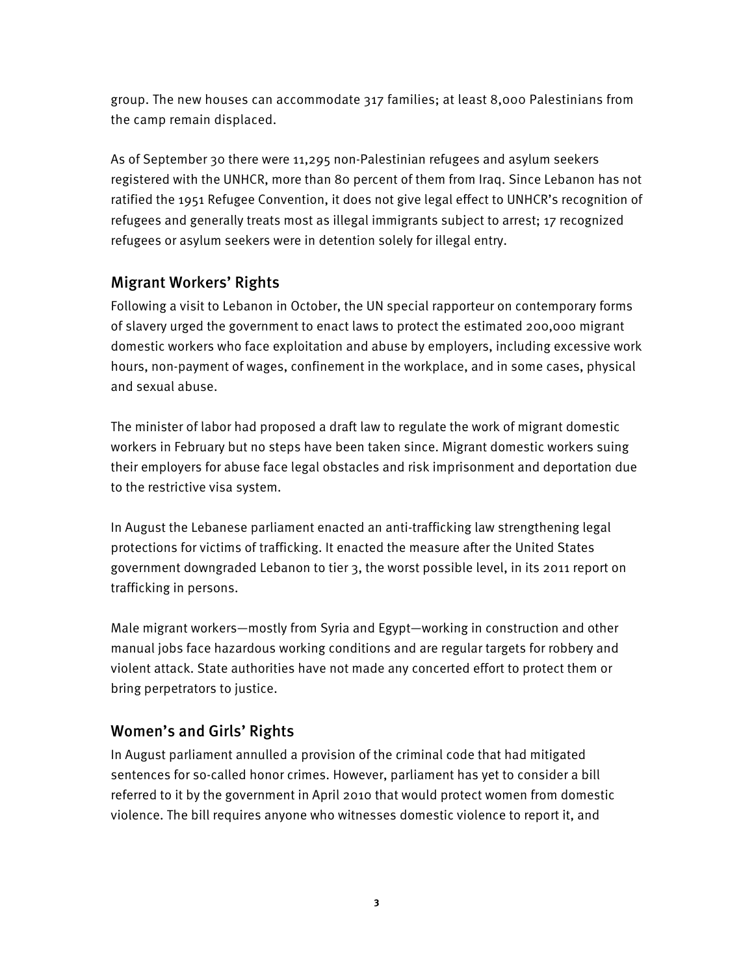group. The new houses can accommodate 317 families; at least 8,000 Palestinians from the camp remain displaced.

As of September 30 there were 11,295 non-Palestinian refugees and asylum seekers registered with the UNHCR, more than 80 percent of them from Iraq. Since Lebanon has not ratified the 1951 Refugee Convention, it does not give legal effect to UNHCR's recognition of refugees and generally treats most as illegal immigrants subject to arrest; 17 recognized refugees or asylum seekers were in detention solely for illegal entry.

## Migrant Workers' Rights

Following a visit to Lebanon in October, the UN special rapporteur on contemporary forms of slavery urged the government to enact laws to protect the estimated 200,000 migrant domestic workers who face exploitation and abuse by employers, including excessive work hours, non-payment of wages, confinement in the workplace, and in some cases, physical and sexual abuse.

The minister of labor had proposed a draft law to regulate the work of migrant domestic workers in February but no steps have been taken since. Migrant domestic workers suing their employers for abuse face legal obstacles and risk imprisonment and deportation due to the restrictive visa system.

In August the Lebanese parliament enacted an anti-trafficking law strengthening legal protections for victims of trafficking. It enacted the measure after the United States government downgraded Lebanon to tier 3, the worst possible level, in its 2011 report on trafficking in persons.

Male migrant workers—mostly from Syria and Egypt—working in construction and other manual jobs face hazardous working conditions and are regular targets for robbery and violent attack. State authorities have not made any concerted effort to protect them or bring perpetrators to justice.

#### Women's and Girls' Rights

In August parliament annulled a provision of the criminal code that had mitigated sentences for so-called honor crimes. However, parliament has yet to consider a bill referred to it by the government in April 2010 that would protect women from domestic violence. The bill requires anyone who witnesses domestic violence to report it, and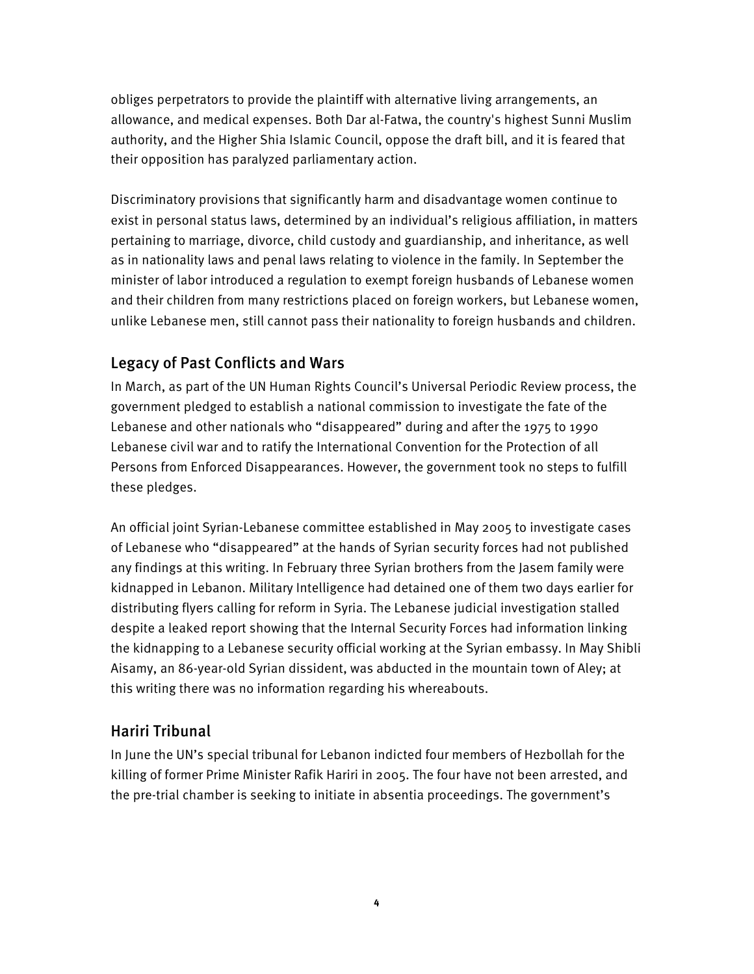obliges perpetrators to provide the plaintiff with alternative living arrangements, an allowance, and medical expenses. Both Dar al-Fatwa, the country's highest Sunni Muslim authority, and the Higher Shia Islamic Council, oppose the draft bill, and it is feared that their opposition has paralyzed parliamentary action.

Discriminatory provisions that significantly harm and disadvantage women continue to exist in personal status laws, determined by an individual's religious affiliation, in matters pertaining to marriage, divorce, child custody and guardianship, and inheritance, as well as in nationality laws and penal laws relating to violence in the family. In September the minister of labor introduced a regulation to exempt foreign husbands of Lebanese women and their children from many restrictions placed on foreign workers, but Lebanese women, unlike Lebanese men, still cannot pass their nationality to foreign husbands and children.

## Legacy of Past Conflicts and Wars

In March, as part of the UN Human Rights Council's Universal Periodic Review process, the government pledged to establish a national commission to investigate the fate of the Lebanese and other nationals who "disappeared" during and after the 1975 to 1990 Lebanese civil war and to ratify the International Convention for the Protection of all Persons from Enforced Disappearances. However, the government took no steps to fulfill these pledges.

An official joint Syrian-Lebanese committee established in May 2005 to investigate cases of Lebanese who "disappeared" at the hands of Syrian security forces had not published any findings at this writing. In February three Syrian brothers from the Jasem family were kidnapped in Lebanon. Military Intelligence had detained one of them two days earlier for distributing flyers calling for reform in Syria. The Lebanese judicial investigation stalled despite a leaked report showing that the Internal Security Forces had information linking the kidnapping to a Lebanese security official working at the Syrian embassy. In May Shibli Aisamy, an 86-year-old Syrian dissident, was abducted in the mountain town of Aley; at this writing there was no information regarding his whereabouts.

## Hariri Tribunal

In June the UN's special tribunal for Lebanon indicted four members of Hezbollah for the killing of former Prime Minister Rafik Hariri in 2005. The four have not been arrested, and the pre-trial chamber is seeking to initiate in absentia proceedings. The government's